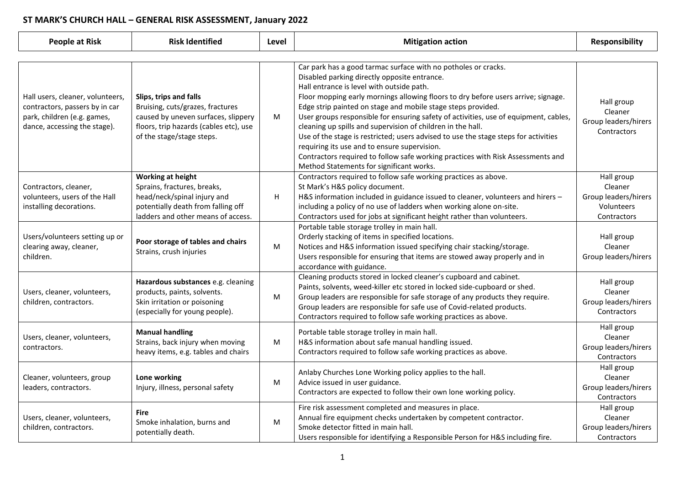## **ST MARK'S CHURCH HALL – GENERAL RISK ASSESSMENT, January 2022**

| <b>People at Risk</b>                                                                                                             | <b>Risk Identified</b>                                                                                                                                                   | Level | <b>Mitigation action</b>                                                                                                                                                                                                                                                                                                                                                                                                                                                                                                                                                                                                                                                                                                                      | <b>Responsibility</b>                                                      |  |  |
|-----------------------------------------------------------------------------------------------------------------------------------|--------------------------------------------------------------------------------------------------------------------------------------------------------------------------|-------|-----------------------------------------------------------------------------------------------------------------------------------------------------------------------------------------------------------------------------------------------------------------------------------------------------------------------------------------------------------------------------------------------------------------------------------------------------------------------------------------------------------------------------------------------------------------------------------------------------------------------------------------------------------------------------------------------------------------------------------------------|----------------------------------------------------------------------------|--|--|
|                                                                                                                                   |                                                                                                                                                                          |       |                                                                                                                                                                                                                                                                                                                                                                                                                                                                                                                                                                                                                                                                                                                                               |                                                                            |  |  |
| Hall users, cleaner, volunteers,<br>contractors, passers by in car<br>park, children (e.g. games,<br>dance, accessing the stage). | Slips, trips and falls<br>Bruising, cuts/grazes, fractures<br>caused by uneven surfaces, slippery<br>floors, trip hazards (cables etc), use<br>of the stage/stage steps. | M     | Car park has a good tarmac surface with no potholes or cracks.<br>Disabled parking directly opposite entrance.<br>Hall entrance is level with outside path.<br>Floor mopping early mornings allowing floors to dry before users arrive; signage.<br>Edge strip painted on stage and mobile stage steps provided.<br>User groups responsible for ensuring safety of activities, use of equipment, cables,<br>cleaning up spills and supervision of children in the hall.<br>Use of the stage is restricted; users advised to use the stage steps for activities<br>requiring its use and to ensure supervision.<br>Contractors required to follow safe working practices with Risk Assessments and<br>Method Statements for significant works. | Hall group<br>Cleaner<br>Group leaders/hirers<br>Contractors               |  |  |
| Contractors, cleaner,<br>volunteers, users of the Hall<br>installing decorations.                                                 | <b>Working at height</b><br>Sprains, fractures, breaks,<br>head/neck/spinal injury and<br>potentially death from falling off<br>ladders and other means of access.       | H     | Contractors required to follow safe working practices as above.<br>St Mark's H&S policy document.<br>H&S information included in guidance issued to cleaner, volunteers and hirers -<br>including a policy of no use of ladders when working alone on-site.<br>Contractors used for jobs at significant height rather than volunteers.                                                                                                                                                                                                                                                                                                                                                                                                        | Hall group<br>Cleaner<br>Group leaders/hirers<br>Volunteers<br>Contractors |  |  |
| Users/volunteers setting up or<br>clearing away, cleaner,<br>children.                                                            | Poor storage of tables and chairs<br>Strains, crush injuries                                                                                                             | M     | Portable table storage trolley in main hall.<br>Orderly stacking of items in specified locations.<br>Notices and H&S information issued specifying chair stacking/storage.<br>Users responsible for ensuring that items are stowed away properly and in<br>accordance with guidance.                                                                                                                                                                                                                                                                                                                                                                                                                                                          | Hall group<br>Cleaner<br>Group leaders/hirers                              |  |  |
| Users, cleaner, volunteers,<br>children, contractors.                                                                             | Hazardous substances e.g. cleaning<br>products, paints, solvents.<br>Skin irritation or poisoning<br>(especially for young people).                                      | M     | Cleaning products stored in locked cleaner's cupboard and cabinet.<br>Paints, solvents, weed-killer etc stored in locked side-cupboard or shed.<br>Group leaders are responsible for safe storage of any products they require.<br>Group leaders are responsible for safe use of Covid-related products.<br>Contractors required to follow safe working practices as above.                                                                                                                                                                                                                                                                                                                                                                   | Hall group<br>Cleaner<br>Group leaders/hirers<br>Contractors               |  |  |
| Users, cleaner, volunteers,<br>contractors.                                                                                       | <b>Manual handling</b><br>Strains, back injury when moving<br>heavy items, e.g. tables and chairs                                                                        | M     | Portable table storage trolley in main hall.<br>H&S information about safe manual handling issued.<br>Contractors required to follow safe working practices as above.                                                                                                                                                                                                                                                                                                                                                                                                                                                                                                                                                                         | Hall group<br>Cleaner<br>Group leaders/hirers<br>Contractors               |  |  |
| Cleaner, volunteers, group<br>leaders, contractors.                                                                               | Lone working<br>Injury, illness, personal safety                                                                                                                         | M     | Anlaby Churches Lone Working policy applies to the hall.<br>Advice issued in user guidance.<br>Contractors are expected to follow their own lone working policy.                                                                                                                                                                                                                                                                                                                                                                                                                                                                                                                                                                              | Hall group<br>Cleaner<br>Group leaders/hirers<br>Contractors               |  |  |
| Users, cleaner, volunteers,<br>children, contractors.                                                                             | <b>Fire</b><br>Smoke inhalation, burns and<br>potentially death.                                                                                                         | M     | Fire risk assessment completed and measures in place.<br>Annual fire equipment checks undertaken by competent contractor.<br>Smoke detector fitted in main hall.<br>Users responsible for identifying a Responsible Person for H&S including fire.                                                                                                                                                                                                                                                                                                                                                                                                                                                                                            | Hall group<br>Cleaner<br>Group leaders/hirers<br>Contractors               |  |  |